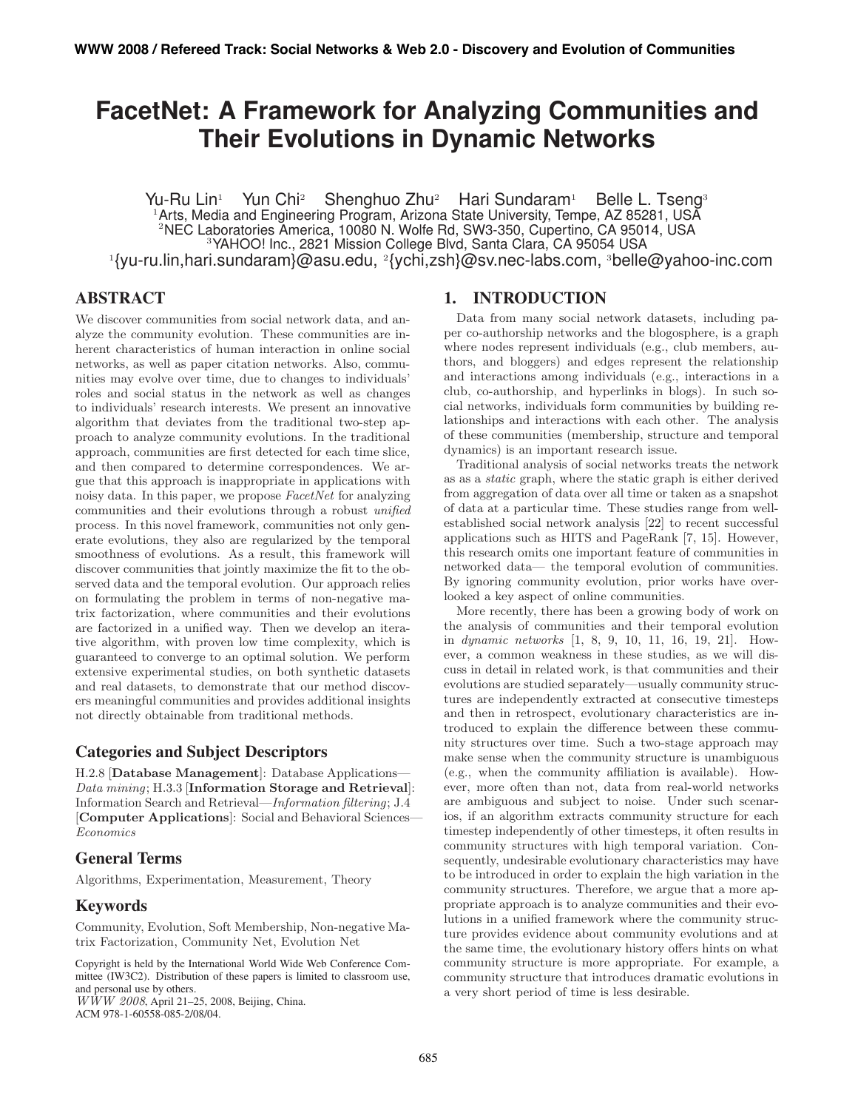# **FacetNet: A Framework for Analyzing Communities and Their Evolutions in Dynamic Networks**

Yu-Ru Lin<sup>1</sup> Yun Chi<sup>2</sup> Shenghuo Zhu<sup>2</sup> Hari Sundaram<sup>1</sup> Belle L. Tseng<sup>3</sup><br><sup>1</sup> Arts, Media and Engineering Program, Arizona State University, Tempe, AZ 85281, USA <sup>2</sup>NEC Laboratories America, 10080 N. Wolfe Rd, SW3-350, Cupertino, CA 95014, USA<br><sup>3</sup>YAHOO! Inc., 2821 Mission College Blvd, Santa Clara, CA 95054 USA <sup>1</sup>{yu-ru.lin,hari.sundaram}@asu.edu, <sup>2</sup>{ychi,zsh}@sv.nec-labs.com, <sup>3</sup>belle@yahoo-inc.com

# **ABSTRACT**

We discover communities from social network data, and analyze the community evolution. These communities are inherent characteristics of human interaction in online social networks, as well as paper citation networks. Also, communities may evolve over time, due to changes to individuals' roles and social status in the network as well as changes to individuals' research interests. We present an innovative algorithm that deviates from the traditional two-step approach to analyze community evolutions. In the traditional approach, communities are first detected for each time slice, and then compared to determine correspondences. We argue that this approach is inappropriate in applications with noisy data. In this paper, we propose *FacetNet* for analyzing communities and their evolutions through a robust unified process. In this novel framework, communities not only generate evolutions, they also are regularized by the temporal smoothness of evolutions. As a result, this framework will discover communities that jointly maximize the fit to the observed data and the temporal evolution. Our approach relies on formulating the problem in terms of non-negative matrix factorization, where communities and their evolutions are factorized in a unified way. Then we develop an iterative algorithm, with proven low time complexity, which is guaranteed to converge to an optimal solution. We perform extensive experimental studies, on both synthetic datasets and real datasets, to demonstrate that our method discovers meaningful communities and provides additional insights not directly obtainable from traditional methods.

# **Categories and Subject Descriptors**

H.2.8 [Database Management]: Database Applications— Data mining; H.3.3 [Information Storage and Retrieval]: Information Search and Retrieval—Information filtering; J.4 [Computer Applications]: Social and Behavioral Sciences— Economics

# **General Terms**

Algorithms, Experimentation, Measurement, Theory

## **Keywords**

Community, Evolution, Soft Membership, Non-negative Matrix Factorization, Community Net, Evolution Net

Copyright is held by the International World Wide Web Conference Committee (IW3C2). Distribution of these papers is limited to classroom use, and personal use by others.

 $W\dot{W}W$  2008, April 21–25, 2008, Beijing, China. ACM 978-1-60558-085-2/08/04.

# **1. INTRODUCTION**

Data from many social network datasets, including paper co-authorship networks and the blogosphere, is a graph where nodes represent individuals (e.g., club members, authors, and bloggers) and edges represent the relationship and interactions among individuals (e.g., interactions in a club, co-authorship, and hyperlinks in blogs). In such social networks, individuals form communities by building relationships and interactions with each other. The analysis of these communities (membership, structure and temporal dynamics) is an important research issue.

Traditional analysis of social networks treats the network as as a static graph, where the static graph is either derived from aggregation of data over all time or taken as a snapshot of data at a particular time. These studies range from wellestablished social network analysis [22] to recent successful applications such as HITS and PageRank [7, 15]. However, this research omits one important feature of communities in networked data— the temporal evolution of communities. By ignoring community evolution, prior works have overlooked a key aspect of online communities.

More recently, there has been a growing body of work on the analysis of communities and their temporal evolution in dynamic networks [1, 8, 9, 10, 11, 16, 19, 21]. However, a common weakness in these studies, as we will discuss in detail in related work, is that communities and their evolutions are studied separately—usually community structures are independently extracted at consecutive timesteps and then in retrospect, evolutionary characteristics are introduced to explain the difference between these community structures over time. Such a two-stage approach may make sense when the community structure is unambiguous (e.g., when the community affiliation is available). However, more often than not, data from real-world networks are ambiguous and subject to noise. Under such scenarios, if an algorithm extracts community structure for each timestep independently of other timesteps, it often results in community structures with high temporal variation. Consequently, undesirable evolutionary characteristics may have to be introduced in order to explain the high variation in the community structures. Therefore, we argue that a more appropriate approach is to analyze communities and their evolutions in a unified framework where the community structure provides evidence about community evolutions and at the same time, the evolutionary history offers hints on what community structure is more appropriate. For example, a community structure that introduces dramatic evolutions in a very short period of time is less desirable.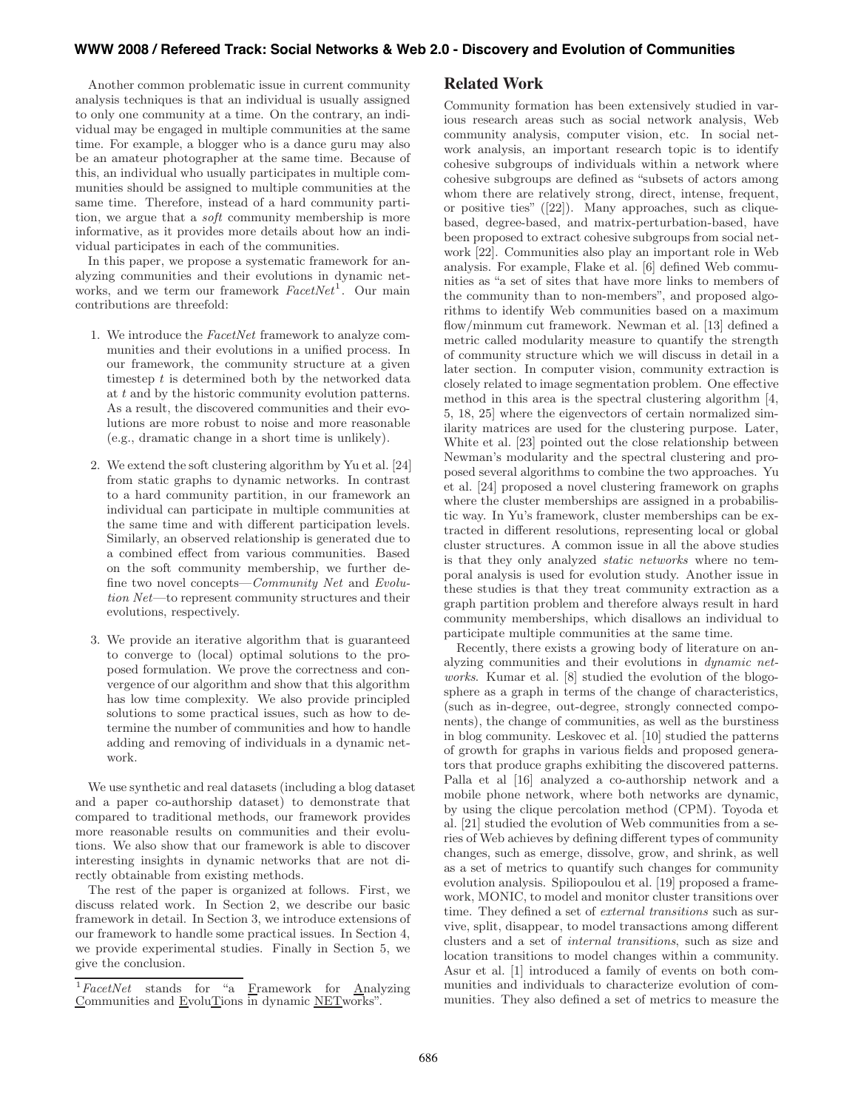Another common problematic issue in current community analysis techniques is that an individual is usually assigned to only one community at a time. On the contrary, an individual may be engaged in multiple communities at the same time. For example, a blogger who is a dance guru may also be an amateur photographer at the same time. Because of this, an individual who usually participates in multiple communities should be assigned to multiple communities at the same time. Therefore, instead of a hard community partition, we argue that a soft community membership is more informative, as it provides more details about how an individual participates in each of the communities.

In this paper, we propose a systematic framework for analyzing communities and their evolutions in dynamic networks, and we term our framework  $FacetNet^1$ . Our main contributions are threefold:

- 1. We introduce the FacetNet framework to analyze communities and their evolutions in a unified process. In our framework, the community structure at a given timestep  $t$  is determined both by the networked data at t and by the historic community evolution patterns. As a result, the discovered communities and their evolutions are more robust to noise and more reasonable (e.g., dramatic change in a short time is unlikely).
- 2. We extend the soft clustering algorithm by Yu et al. [24] from static graphs to dynamic networks. In contrast to a hard community partition, in our framework an individual can participate in multiple communities at the same time and with different participation levels. Similarly, an observed relationship is generated due to a combined effect from various communities. Based on the soft community membership, we further define two novel concepts—Community Net and Evolution Net—to represent community structures and their evolutions, respectively.
- 3. We provide an iterative algorithm that is guaranteed to converge to (local) optimal solutions to the proposed formulation. We prove the correctness and convergence of our algorithm and show that this algorithm has low time complexity. We also provide principled solutions to some practical issues, such as how to determine the number of communities and how to handle adding and removing of individuals in a dynamic network.

We use synthetic and real datasets (including a blog dataset and a paper co-authorship dataset) to demonstrate that compared to traditional methods, our framework provides more reasonable results on communities and their evolutions. We also show that our framework is able to discover interesting insights in dynamic networks that are not directly obtainable from existing methods.

The rest of the paper is organized at follows. First, we discuss related work. In Section 2, we describe our basic framework in detail. In Section 3, we introduce extensions of our framework to handle some practical issues. In Section 4, we provide experimental studies. Finally in Section 5, we give the conclusion.

## **Related Work**

Community formation has been extensively studied in various research areas such as social network analysis, Web community analysis, computer vision, etc. In social network analysis, an important research topic is to identify cohesive subgroups of individuals within a network where cohesive subgroups are defined as "subsets of actors among whom there are relatively strong, direct, intense, frequent, or positive ties" ([22]). Many approaches, such as cliquebased, degree-based, and matrix-perturbation-based, have been proposed to extract cohesive subgroups from social network [22]. Communities also play an important role in Web analysis. For example, Flake et al. [6] defined Web communities as "a set of sites that have more links to members of the community than to non-members", and proposed algorithms to identify Web communities based on a maximum flow/minmum cut framework. Newman et al. [13] defined a metric called modularity measure to quantify the strength of community structure which we will discuss in detail in a later section. In computer vision, community extraction is closely related to image segmentation problem. One effective method in this area is the spectral clustering algorithm [4, 5, 18, 25] where the eigenvectors of certain normalized similarity matrices are used for the clustering purpose. Later, White et al. [23] pointed out the close relationship between Newman's modularity and the spectral clustering and proposed several algorithms to combine the two approaches. Yu et al. [24] proposed a novel clustering framework on graphs where the cluster memberships are assigned in a probabilistic way. In Yu's framework, cluster memberships can be extracted in different resolutions, representing local or global cluster structures. A common issue in all the above studies is that they only analyzed static networks where no temporal analysis is used for evolution study. Another issue in these studies is that they treat community extraction as a graph partition problem and therefore always result in hard community memberships, which disallows an individual to participate multiple communities at the same time.

Recently, there exists a growing body of literature on analyzing communities and their evolutions in dynamic networks. Kumar et al. [8] studied the evolution of the blogosphere as a graph in terms of the change of characteristics, (such as in-degree, out-degree, strongly connected components), the change of communities, as well as the burstiness in blog community. Leskovec et al. [10] studied the patterns of growth for graphs in various fields and proposed generators that produce graphs exhibiting the discovered patterns. Palla et al [16] analyzed a co-authorship network and a mobile phone network, where both networks are dynamic, by using the clique percolation method (CPM). Toyoda et al. [21] studied the evolution of Web communities from a series of Web achieves by defining different types of community changes, such as emerge, dissolve, grow, and shrink, as well as a set of metrics to quantify such changes for community evolution analysis. Spiliopoulou et al. [19] proposed a framework, MONIC, to model and monitor cluster transitions over time. They defined a set of *external transitions* such as survive, split, disappear, to model transactions among different clusters and a set of internal transitions, such as size and location transitions to model changes within a community. Asur et al. [1] introduced a family of events on both communities and individuals to characterize evolution of communities. They also defined a set of metrics to measure the

 ${}^{1}FacetNet$  stands for "a Framework for Analyzing Communities and EvoluTions in dynamic NETworks".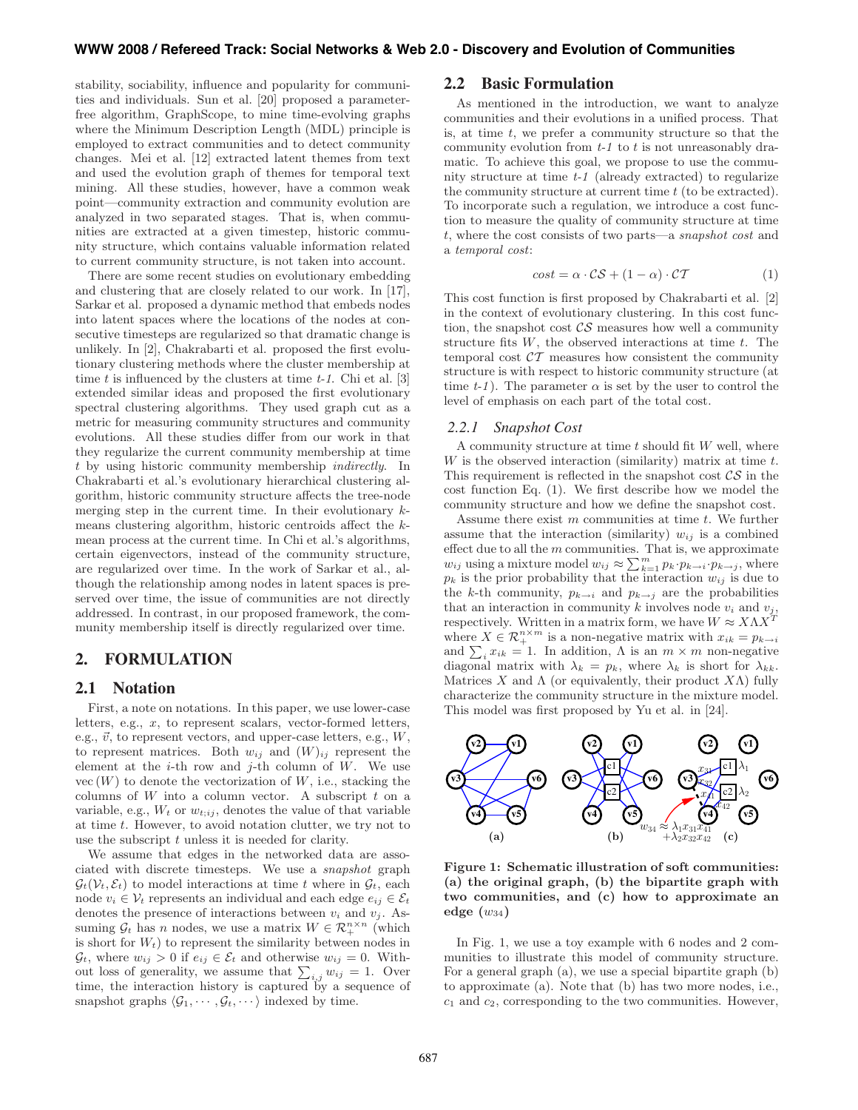stability, sociability, influence and popularity for communities and individuals. Sun et al. [20] proposed a parameterfree algorithm, GraphScope, to mine time-evolving graphs where the Minimum Description Length (MDL) principle is employed to extract communities and to detect community changes. Mei et al. [12] extracted latent themes from text and used the evolution graph of themes for temporal text mining. All these studies, however, have a common weak point—community extraction and community evolution are analyzed in two separated stages. That is, when communities are extracted at a given timestep, historic community structure, which contains valuable information related to current community structure, is not taken into account.

There are some recent studies on evolutionary embedding and clustering that are closely related to our work. In [17], Sarkar et al. proposed a dynamic method that embeds nodes into latent spaces where the locations of the nodes at consecutive timesteps are regularized so that dramatic change is unlikely. In [2], Chakrabarti et al. proposed the first evolutionary clustering methods where the cluster membership at time  $t$  is influenced by the clusters at time  $t-1$ . Chi et al. [3] extended similar ideas and proposed the first evolutionary spectral clustering algorithms. They used graph cut as a metric for measuring community structures and community evolutions. All these studies differ from our work in that they regularize the current community membership at time t by using historic community membership indirectly. In Chakrabarti et al.'s evolutionary hierarchical clustering algorithm, historic community structure affects the tree-node merging step in the current time. In their evolutionary  $k$ means clustering algorithm, historic centroids affect the kmean process at the current time. In Chi et al.'s algorithms, certain eigenvectors, instead of the community structure, are regularized over time. In the work of Sarkar et al., although the relationship among nodes in latent spaces is preserved over time, the issue of communities are not directly addressed. In contrast, in our proposed framework, the community membership itself is directly regularized over time.

# **2. FORMULATION**

## **2.1 Notation**

First, a note on notations. In this paper, we use lower-case letters, e.g.,  $x$ , to represent scalars, vector-formed letters, e.g.,  $\vec{v}$ , to represent vectors, and upper-case letters, e.g.,  $W$ , to represent matrices. Both  $w_{ij}$  and  $(W)_{ij}$  represent the element at the *i*-th row and *j*-th column of  $W$ . We use vec  $(W)$  to denote the vectorization of  $W$ , i.e., stacking the columns of  $W$  into a column vector. A subscript  $t$  on a variable, e.g.,  $W_t$  or  $w_{t;ij}$ , denotes the value of that variable at time t. However, to avoid notation clutter, we try not to use the subscript  $t$  unless it is needed for clarity.

We assume that edges in the networked data are associated with discrete timesteps. We use a snapshot graph  $\mathcal{G}_t(\mathcal{V}_t, \mathcal{E}_t)$  to model interactions at time t where in  $\mathcal{G}_t$ , each node  $v_i \in V_t$  represents an individual and each edge  $e_{ij} \in \mathcal{E}_t$ denotes the presence of interactions between  $v_i$  and  $v_j$ . Assuming  $\mathcal{G}_t$  has n nodes, we use a matrix  $W \in \mathcal{R}_+^{n \times n}$  (which is short for  $W_t$ ) to represent the similarity between nodes in  $\mathcal{G}_t$ , where  $w_{ij} > 0$  if  $e_{ij} \in \mathcal{E}_t$  and otherwise  $w_{ij} = 0$ . Without loss of generality, we assume that  $\sum_{i,j} w_{ij} = 1$ . Over time, the interaction history is captured by a sequence of snapshot graphs  $\langle \mathcal{G}_1, \cdots, \mathcal{G}_t, \cdots \rangle$  indexed by time.

## **2.2 Basic Formulation**

As mentioned in the introduction, we want to analyze communities and their evolutions in a unified process. That is, at time  $t$ , we prefer a community structure so that the community evolution from  $t-1$  to  $t$  is not unreasonably dramatic. To achieve this goal, we propose to use the community structure at time t-1 (already extracted) to regularize the community structure at current time  $t$  (to be extracted). To incorporate such a regulation, we introduce a cost function to measure the quality of community structure at time t, where the cost consists of two parts—a snapshot cost and a temporal cost:

$$
cost = \alpha \cdot \mathcal{CS} + (1 - \alpha) \cdot \mathcal{CT}
$$
 (1)

This cost function is first proposed by Chakrabarti et al. [2] in the context of evolutionary clustering. In this cost function, the snapshot cost  $\mathcal{CS}$  measures how well a community structure fits  $W$ , the observed interactions at time  $t$ . The temporal cost  $\mathcal{CT}$  measures how consistent the community structure is with respect to historic community structure (at time  $t-1$ ). The parameter  $\alpha$  is set by the user to control the level of emphasis on each part of the total cost.

#### *2.2.1 Snapshot Cost*

A community structure at time  $t$  should fit  $W$  well, where  $W$  is the observed interaction (similarity) matrix at time  $t$ . This requirement is reflected in the snapshot cost  $\mathcal{CS}$  in the cost function Eq. (1). We first describe how we model the community structure and how we define the snapshot cost.

Assume there exist  $m$  communities at time  $t$ . We further assume that the interaction (similarity)  $w_{ij}$  is a combined effect due to all the  $m$  communities. That is, we approximate  $w_{ij}$  using a mixture model  $w_{ij} \approx \sum_{k=1}^{m} p_k \cdot p_{k \to i} \cdot p_{k \to j}$ , where  $p_k$  is the prior probability that the interaction  $w_{ij}$  is due to the k-th community,  $p_{k\rightarrow i}$  and  $p_{k\rightarrow j}$  are the probabilities that an interaction in community k involves node  $v_i$  and  $v_j$ , respectively. Written in a matrix form, we have  $W \approx X \Lambda X^T$ where  $X \in \mathcal{R}_+^{n \times m}$  is a non-negative matrix with  $x_{ik} = p_{k \to i}$ and  $\sum_i x_{ik} = 1$ . In addition,  $\Lambda$  is an  $m \times m$  non-negative diagonal matrix with  $\lambda_k = p_k$ , where  $\lambda_k$  is short for  $\lambda_{kk}$ . Matrices X and  $\Lambda$  (or equivalently, their product  $X\Lambda$ ) fully characterize the community structure in the mixture model. This model was first proposed by Yu et al. in [24].



Figure 1: Schematic illustration of soft communities: (a) the original graph, (b) the bipartite graph with two communities, and (c) how to approximate an edge  $(w_{34})$ 

In Fig. 1, we use a toy example with 6 nodes and 2 communities to illustrate this model of community structure. For a general graph (a), we use a special bipartite graph (b) to approximate (a). Note that (b) has two more nodes, i.e.,  $c_1$  and  $c_2$ , corresponding to the two communities. However,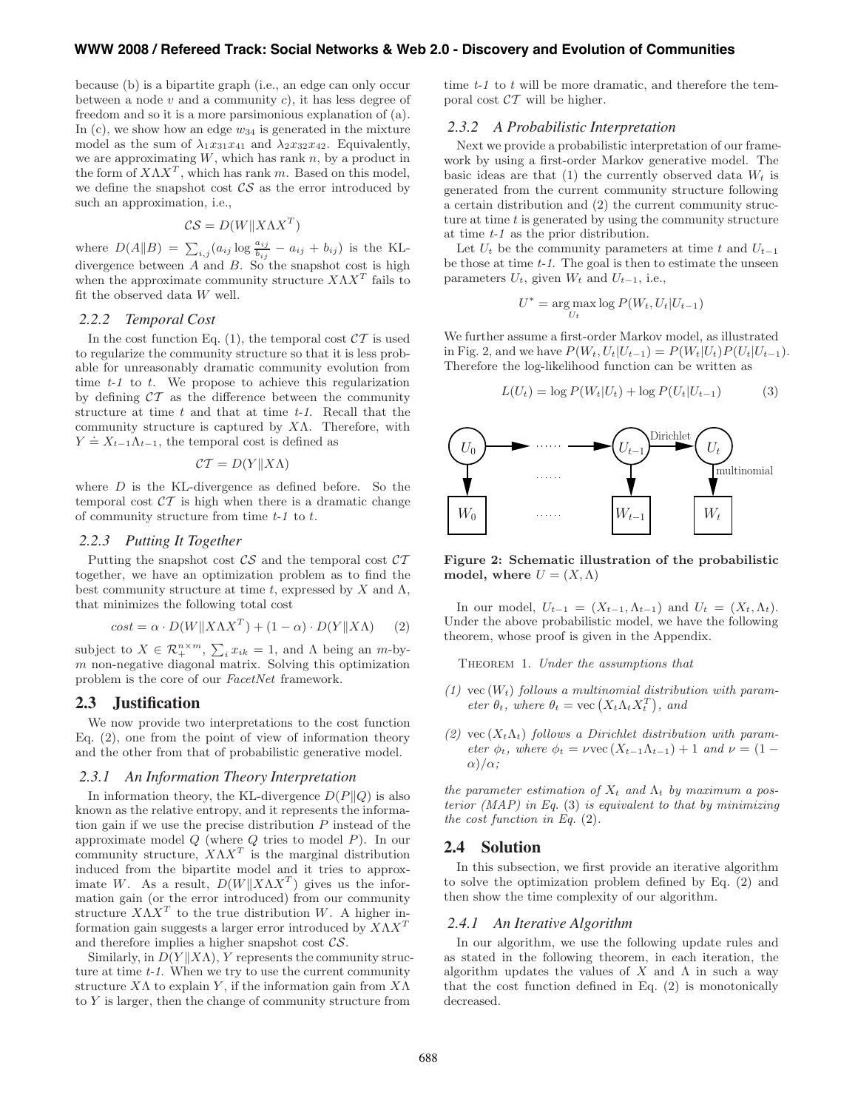because (b) is a bipartite graph (i.e., an edge can only occur between a node  $v$  and a community  $c$ ), it has less degree of freedom and so it is a more parsimonious explanation of (a). In  $(c)$ , we show how an edge  $w_{34}$  is generated in the mixture model as the sum of  $\lambda_1 x_{31} x_{41}$  and  $\lambda_2 x_{32} x_{42}$ . Equivalently, we are approximating  $W$ , which has rank  $n$ , by a product in the form of  $X\Lambda X^T$ , which has rank m. Based on this model, we define the snapshot cost  $\mathcal{CS}$  as the error introduced by such an approximation, i.e.,

$$
\mathcal{CS} = D(W \parallel X \Lambda X^T)
$$

where  $D(A||B) = \sum_{i,j} (a_{ij} \log \frac{a_{ij}}{b_{ij}} - a_{ij} + b_{ij})$  is the KLdivergence between  $A$  and  $B$ . So the snapshot cost is high when the approximate community structure  $X\Lambda X^T$  fails to fit the observed data W well.

#### *2.2.2 Temporal Cost*

In the cost function Eq. (1), the temporal cost  $\mathcal{CT}$  is used to regularize the community structure so that it is less probable for unreasonably dramatic community evolution from time  $t-1$  to  $t$ . We propose to achieve this regularization by defining  $CT$  as the difference between the community structure at time  $t$  and that at time  $t-1$ . Recall that the community structure is captured by  $X\Lambda$ . Therefore, with  $Y = X_{t-1}\Lambda_{t-1}$ , the temporal cost is defined as

$$
\mathcal{CT} = D(Y \| X \Lambda)
$$

where  $D$  is the KL-divergence as defined before. So the temporal cost  $CT$  is high when there is a dramatic change of community structure from time  $t-1$  to  $t$ .

# *2.2.3 Putting It Together*

Putting the snapshot cost  $\mathcal{CS}$  and the temporal cost  $\mathcal{CT}$ together, we have an optimization problem as to find the best community structure at time t, expressed by X and  $\Lambda$ , that minimizes the following total cost

$$
cost = \alpha \cdot D(W||X\Lambda X^T) + (1 - \alpha) \cdot D(Y||X\Lambda)
$$
 (2)

subject to  $X \in \mathcal{R}_+^{n \times m}$ ,  $\sum_i x_{ik} = 1$ , and  $\Lambda$  being an m-by $m$  non-negative diagonal matrix. Solving this optimization problem is the core of our FacetNet framework.

# **2.3 Justification**

We now provide two interpretations to the cost function Eq. (2), one from the point of view of information theory and the other from that of probabilistic generative model.

## *2.3.1 An Information Theory Interpretation*

In information theory, the KL-divergence  $D(P||Q)$  is also known as the relative entropy, and it represents the information gain if we use the precise distribution  $P$  instead of the approximate model  $Q$  (where  $Q$  tries to model  $P$ ). In our community structure,  $X\Lambda X^T$  is the marginal distribution induced from the bipartite model and it tries to approximate W. As a result,  $D(W||X\Lambda X^T)$  gives us the information gain (or the error introduced) from our community structure  $X\Lambda X^T$  to the true distribution W. A higher information gain suggests a larger error introduced by  $X\Lambda X^T$ and therefore implies a higher snapshot cost  $\mathcal{CS}$ .

Similarly, in  $D(Y||X\Lambda)$ , Y represents the community structure at time  $t-1$ . When we try to use the current community structure  $X\Lambda$  to explain Y, if the information gain from  $X\Lambda$ to Y is larger, then the change of community structure from

time  $t-1$  to  $t$  will be more dramatic, and therefore the temporal cost  $\mathcal{CT}$  will be higher.

# *2.3.2 A Probabilistic Interpretation*

Next we provide a probabilistic interpretation of our framework by using a first-order Markov generative model. The basic ideas are that (1) the currently observed data  $W_t$  is generated from the current community structure following a certain distribution and (2) the current community structure at time  $t$  is generated by using the community structure at time t-1 as the prior distribution.

Let  $U_t$  be the community parameters at time t and  $U_{t-1}$ be those at time  $t-1$ . The goal is then to estimate the unseen parameters  $U_t$ , given  $W_t$  and  $U_{t-1}$ , i.e.,

$$
U^* = \underset{U_t}{\arg \max} \log P(W_t, U_t | U_{t-1})
$$

We further assume a first-order Markov model, as illustrated in Fig. 2, and we have  $P(W_t, U_t|U_{t-1}) = P(W_t|U_t)P(U_t|U_{t-1}).$ Therefore the log-likelihood function can be written as

$$
L(U_t) = \log P(W_t | U_t) + \log P(U_t | U_{t-1}) \tag{3}
$$



Figure 2: Schematic illustration of the probabilistic model, where  $U = (X, \Lambda)$ 

In our model,  $U_{t-1} = (X_{t-1}, \Lambda_{t-1})$  and  $U_t = (X_t, \Lambda_t)$ . Under the above probabilistic model, we have the following theorem, whose proof is given in the Appendix.

THEOREM 1. Under the assumptions that

- (1) vec  $(W_t)$  follows a multinomial distribution with parameter  $\theta_t$ , where  $\theta_t = \text{vec}\left(X_t \Lambda_t X_t^T\right)$ , and
- (2) vec  $(X_t \Lambda_t)$  follows a Dirichlet distribution with parameter  $\phi_t$ , where  $\phi_t = \nu \text{vec}(X_{t-1}\Lambda_{t-1}) + 1$  and  $\nu = (1 \alpha$ )/ $\alpha$ ;

the parameter estimation of  $X_t$  and  $\Lambda_t$  by maximum a posterior  $(MAP)$  in Eq. (3) is equivalent to that by minimizing the cost function in Eq.  $(2)$ .

## **2.4 Solution**

In this subsection, we first provide an iterative algorithm to solve the optimization problem defined by Eq. (2) and then show the time complexity of our algorithm.

#### *2.4.1 An Iterative Algorithm*

In our algorithm, we use the following update rules and as stated in the following theorem, in each iteration, the algorithm updates the values of X and  $\Lambda$  in such a way that the cost function defined in Eq. (2) is monotonically decreased.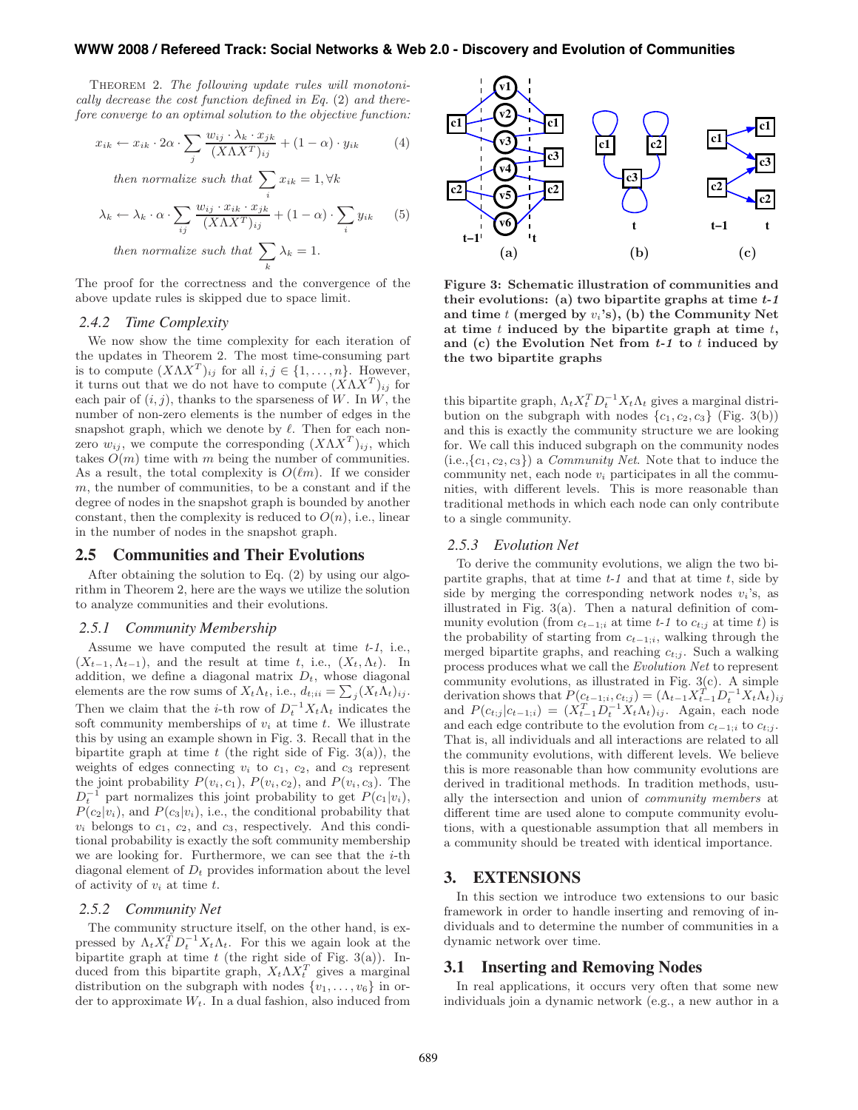#### **WWW 2008 / Refereed Track: Social Networks & Web 2.0 - Discovery and Evolution of Communities**

THEOREM 2. The following update rules will monotonically decrease the cost function defined in Eq. (2) and therefore converge to an optimal solution to the objective function:

$$
x_{ik} \leftarrow x_{ik} \cdot 2\alpha \cdot \sum_{j} \frac{w_{ij} \cdot \lambda_k \cdot x_{jk}}{(X\Lambda X^T)_{ij}} + (1 - \alpha) \cdot y_{ik} \tag{4}
$$

then normalize such that  $\sum$  $x_{ik} = 1, \forall k$ 

$$
\lambda_k \leftarrow \lambda_k \cdot \alpha \cdot \sum_{ij} \frac{w_{ij} \cdot x_{ik} \cdot x_{jk}}{(X\Lambda X^T)_{ij}} + (1 - \alpha) \cdot \sum_i y_{ik} \qquad (5)
$$

then normalize such that  $\sum_{k=1}^{\infty} \lambda_k = 1$ . k

The proof for the correctness and the convergence of the above update rules is skipped due to space limit.

## *2.4.2 Time Complexity*

We now show the time complexity for each iteration of the updates in Theorem 2. The most time-consuming part is to compute  $(X\Lambda X^T)_{ij}$  for all  $i, j \in \{1, \ldots, n\}$ . However, it turns out that we do not have to compute  $(X\Lambda X^T)_{ij}$  for each pair of  $(i, j)$ , thanks to the sparseness of W. In W, the number of non-zero elements is the number of edges in the snapshot graph, which we denote by  $\ell$ . Then for each nonzero  $w_{ij}$ , we compute the corresponding  $(X \Lambda X^T)_{ij}$ , which takes  $O(m)$  time with m being the number of communities. As a result, the total complexity is  $O(\ell m)$ . If we consider  $m$ , the number of communities, to be a constant and if the degree of nodes in the snapshot graph is bounded by another constant, then the complexity is reduced to  $O(n)$ , i.e., linear in the number of nodes in the snapshot graph.

# **2.5 Communities and Their Evolutions**

After obtaining the solution to Eq. (2) by using our algorithm in Theorem 2, here are the ways we utilize the solution to analyze communities and their evolutions.

#### *2.5.1 Community Membership*

Assume we have computed the result at time  $t-1$ , i.e.,  $(X_{t-1}, \Lambda_{t-1})$ , and the result at time t, i.e.,  $(X_t, \Lambda_t)$ . In addition, we define a diagonal matrix  $D_t$ , whose diagonal elements are the row sums of  $X_t \Lambda_t$ , i.e.,  $d_{t;ii} = \sum_j (X_t \Lambda_t)_{ij}$ . Then we claim that the *i*-th row of  $D_t^{-1}X_t\Lambda_t$  indicates the soft community memberships of  $v_i$  at time t. We illustrate this by using an example shown in Fig. 3. Recall that in the bipartite graph at time  $t$  (the right side of Fig. 3(a)), the weights of edges connecting  $v_i$  to  $c_1$ ,  $c_2$ , and  $c_3$  represent the joint probability  $P(v_i, c_1)$ ,  $P(v_i, c_2)$ , and  $P(v_i, c_3)$ . The  $D_t^{-1}$  part normalizes this joint probability to get  $P(c_1|v_i)$ ,  $P(c_2|v_i)$ , and  $P(c_3|v_i)$ , i.e., the conditional probability that  $v_i$  belongs to  $c_1$ ,  $c_2$ , and  $c_3$ , respectively. And this conditional probability is exactly the soft community membership we are looking for. Furthermore, we can see that the  $i$ -th diagonal element of  $D_t$  provides information about the level of activity of  $v_i$  at time  $t$ .

#### *2.5.2 Community Net*

The community structure itself, on the other hand, is expressed by  $\Lambda_t X_t^T D_t^{-1} X_t \Lambda_t$ . For this we again look at the bipartite graph at time  $t$  (the right side of Fig. 3(a)). Induced from this bipartite graph,  $X_t \Lambda X_t^T$  gives a marginal distribution on the subgraph with nodes  $\{v_1,\ldots,v_6\}$  in order to approximate  $W_t$ . In a dual fashion, also induced from



Figure 3: Schematic illustration of communities and their evolutions: (a) two bipartite graphs at time  $t-1$ and time  $t$  (merged by  $v_i$ 's), (b) the Community Net at time  $t$  induced by the bipartite graph at time  $t$ , and (c) the Evolution Net from  $t-1$  to t induced by the two bipartite graphs

this bipartite graph,  $\Lambda_t X_t^T D_t^{-1} X_t \Lambda_t$  gives a marginal distribution on the subgraph with nodes  ${c_1, c_2, c_3}$  (Fig. 3(b)) and this is exactly the community structure we are looking for. We call this induced subgraph on the community nodes  $(i.e., {c_1, c_2, c_3})$  a *Community Net*. Note that to induce the community net, each node  $v_i$  participates in all the communities, with different levels. This is more reasonable than traditional methods in which each node can only contribute to a single community.

#### *2.5.3 Evolution Net*

To derive the community evolutions, we align the two bipartite graphs, that at time  $t-1$  and that at time  $t$ , side by side by merging the corresponding network nodes  $v_i$ 's, as illustrated in Fig. 3(a). Then a natural definition of community evolution (from  $c_{t-1;i}$  at time  $t-1$  to  $c_{t;j}$  at time t) is the probability of starting from  $c_{t-1;i}$ , walking through the merged bipartite graphs, and reaching  $c_{t,j}$ . Such a walking process produces what we call the Evolution Net to represent community evolutions, as illustrated in Fig.  $3(c)$ . A simple derivation shows that  $P(c_{t-1,i}, c_{t,j}) = (\Lambda_{t-1} X_{t-1}^T D_t^{-1} X_t \Lambda_t)_{ij}$ and  $P(c_{t,j}|c_{t-1,i})=(\hat{X}_{t-1}^T \hat{D}_{t-1}^{-1} \hat{X}_t \hat{\Lambda}_t)_{ij}$ . Again, each node and each edge contribute to the evolution from  $c_{t-1;i}$  to  $c_{t;i}$ . That is, all individuals and all interactions are related to all the community evolutions, with different levels. We believe this is more reasonable than how community evolutions are derived in traditional methods. In tradition methods, usually the intersection and union of community members at different time are used alone to compute community evolutions, with a questionable assumption that all members in a community should be treated with identical importance.

# **3. EXTENSIONS**

In this section we introduce two extensions to our basic framework in order to handle inserting and removing of individuals and to determine the number of communities in a dynamic network over time.

## **3.1 Inserting and Removing Nodes**

In real applications, it occurs very often that some new individuals join a dynamic network (e.g., a new author in a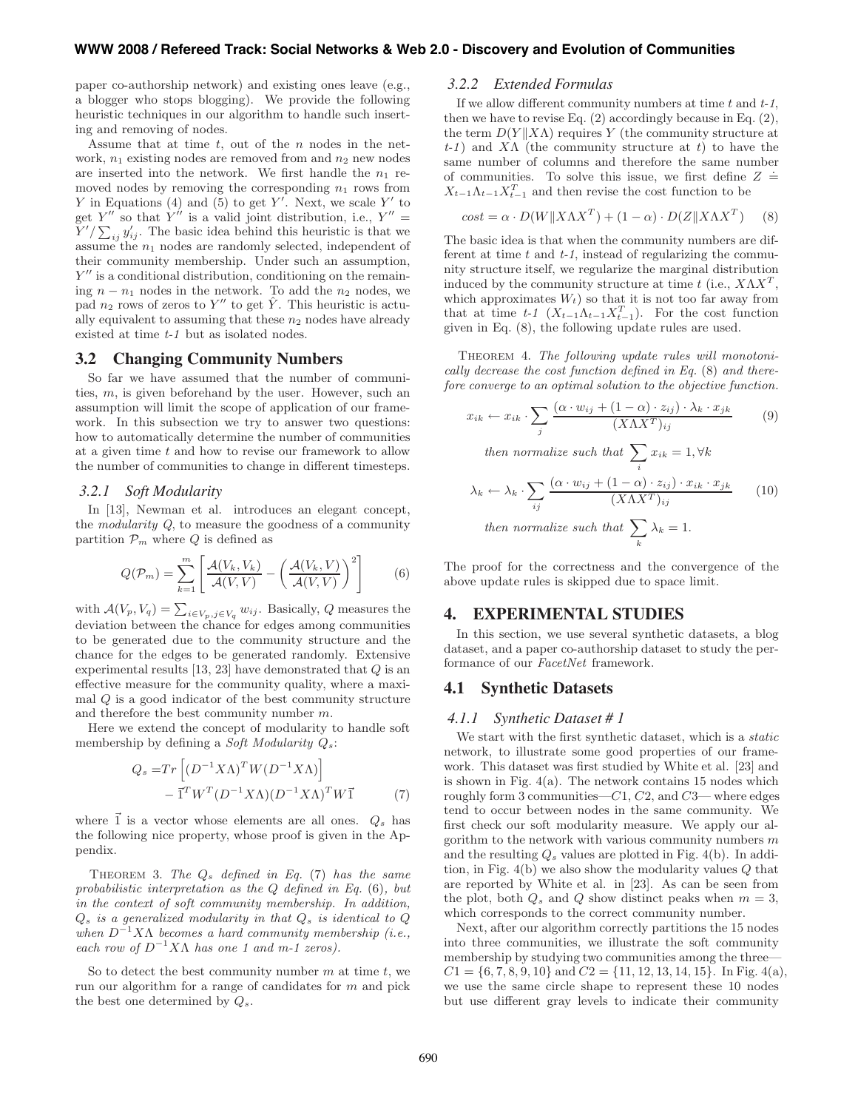paper co-authorship network) and existing ones leave (e.g., a blogger who stops blogging). We provide the following heuristic techniques in our algorithm to handle such inserting and removing of nodes.

Assume that at time  $t$ , out of the  $n$  nodes in the network,  $n_1$  existing nodes are removed from and  $n_2$  new nodes are inserted into the network. We first handle the  $n_1$  removed nodes by removing the corresponding  $n_1$  rows from Y in Equations (4) and (5) to get Y'. Next, we scale Y' to get Y'' so that Y'' is a valid joint distribution, i.e.,  $Y'' =$  $\tilde{Y}'/\sum_{ij} y'_{ij}$ . The basic idea behind this heuristic is that we assume the  $n_1$  nodes are randomly selected, independent of their community membership. Under such an assumption,  $Y''$  is a conditional distribution, conditioning on the remaining  $n - n_1$  nodes in the network. To add the  $n_2$  nodes, we pad  $n_2$  rows of zeros to Y'' to get  $\hat{Y}$ . This heuristic is actually equivalent to assuming that these  $n_2$  nodes have already existed at time t-1 but as isolated nodes.

#### **3.2 Changing Community Numbers**

So far we have assumed that the number of communities, m, is given beforehand by the user. However, such an assumption will limit the scope of application of our framework. In this subsection we try to answer two questions: how to automatically determine the number of communities at a given time  $t$  and how to revise our framework to allow the number of communities to change in different timesteps.

#### *3.2.1 Soft Modularity*

In [13], Newman et al. introduces an elegant concept, the *modularity*  $Q$ , to measure the goodness of a community partition  $\mathcal{P}_m$  where Q is defined as

$$
Q(\mathcal{P}_m) = \sum_{k=1}^m \left[ \frac{\mathcal{A}(V_k, V_k)}{\mathcal{A}(V, V)} - \left( \frac{\mathcal{A}(V_k, V)}{\mathcal{A}(V, V)} \right)^2 \right] \tag{6}
$$

with  $\mathcal{A}(V_p, V_q) = \sum_{i \in V_p, j \in V_q} w_{ij}$ . Basically, Q measures the deviation between the chance for edges among communities to be generated due to the community structure and the chance for the edges to be generated randomly. Extensive experimental results  $[13, 23]$  have demonstrated that  $Q$  is an effective measure for the community quality, where a maximal Q is a good indicator of the best community structure and therefore the best community number m.

Here we extend the concept of modularity to handle soft membership by defining a *Soft Modularity*  $Q_s$ :

$$
Q_s = Tr \left[ \left( D^{-1} X \Lambda \right)^T W (D^{-1} X \Lambda) \right]
$$

$$
- \vec{1}^T W^T (D^{-1} X \Lambda) (D^{-1} X \Lambda)^T W \vec{1}
$$
(7)

where 1 is a vector whose elements are all ones.  $Q_s$  has the following nice property, whose proof is given in the Appendix.

THEOREM 3. The  $Q_s$  defined in Eq. (7) has the same probabilistic interpretation as the  $Q$  defined in Eq.  $(6)$ , but in the context of soft community membership. In addition,  $Q_s$  is a generalized modularity in that  $Q_s$  is identical to  $Q$ when  $D^{-1}X\Lambda$  becomes a hard community membership (i.e., each row of  $D^{-1}X\Lambda$  has one 1 and m-1 zeros).

So to detect the best community number  $m$  at time  $t$ , we run our algorithm for a range of candidates for m and pick the best one determined by  $Q_s$ .

## *3.2.2 Extended Formulas*

If we allow different community numbers at time  $t$  and  $t-1$ , then we have to revise Eq.  $(2)$  accordingly because in Eq.  $(2)$ , the term  $D(Y||X\Lambda)$  requires Y (the community structure at t-1) and  $X\Lambda$  (the community structure at t) to have the same number of columns and therefore the same number of communities. To solve this issue, we first define  $Z \doteq$  $X_{t-1}\Lambda_{t-1}X_{t-1}^T$  and then revise the cost function to be

$$
cost = \alpha \cdot D(W \parallel X \Lambda X^T) + (1 - \alpha) \cdot D(Z \parallel X \Lambda X^T)
$$
 (8)

The basic idea is that when the community numbers are different at time  $t$  and  $t$ -1, instead of regularizing the community structure itself, we regularize the marginal distribution induced by the community structure at time t (i.e.,  $X\Lambda X^{T}$ , which approximates  $W_t$ ) so that it is not too far away from that at time  $t$ -1  $(X_{t-1}\Lambda_{t-1}X_{t-1}^T)$ . For the cost function given in Eq. (8), the following update rules are used.

THEOREM 4. The following update rules will monotonically decrease the cost function defined in Eq. (8) and therefore converge to an optimal solution to the objective function.

$$
x_{ik} \leftarrow x_{ik} \cdot \sum_{j} \frac{(\alpha \cdot w_{ij} + (1 - \alpha) \cdot z_{ij}) \cdot \lambda_k \cdot x_{jk}}{(X\Lambda X^T)_{ij}} \tag{9}
$$

then normalize such that  $\sum$  $x_{ik} = 1, \forall k$ 

$$
\lambda_k \leftarrow \lambda_k \cdot \sum_{ij} \frac{(\alpha \cdot w_{ij} + (1 - \alpha) \cdot z_{ij}) \cdot x_{ik} \cdot x_{jk}}{(X\Lambda X^T)_{ij}} \qquad (10)
$$
  
then normalize such that  $\sum_k \lambda_k = 1$ .

The proof for the correctness and the convergence of the above update rules is skipped due to space limit.

# **4. EXPERIMENTAL STUDIES**

In this section, we use several synthetic datasets, a blog dataset, and a paper co-authorship dataset to study the performance of our FacetNet framework.

## **4.1 Synthetic Datasets**

#### *4.1.1 Synthetic Dataset # 1*

We start with the first synthetic dataset, which is a *static* network, to illustrate some good properties of our framework. This dataset was first studied by White et al. [23] and is shown in Fig. 4(a). The network contains 15 nodes which roughly form 3 communities— $C1$ ,  $C2$ , and  $C3$ — where edges tend to occur between nodes in the same community. We first check our soft modularity measure. We apply our algorithm to the network with various community numbers  $m$ and the resulting  $Q_s$  values are plotted in Fig. 4(b). In addition, in Fig.  $4(b)$  we also show the modularity values  $Q$  that are reported by White et al. in [23]. As can be seen from the plot, both  $Q_s$  and Q show distinct peaks when  $m = 3$ , which corresponds to the correct community number.

Next, after our algorithm correctly partitions the 15 nodes into three communities, we illustrate the soft community membership by studying two communities among the three—  $C1 = \{6, 7, 8, 9, 10\}$  and  $C2 = \{11, 12, 13, 14, 15\}$ . In Fig. 4(a), we use the same circle shape to represent these 10 nodes but use different gray levels to indicate their community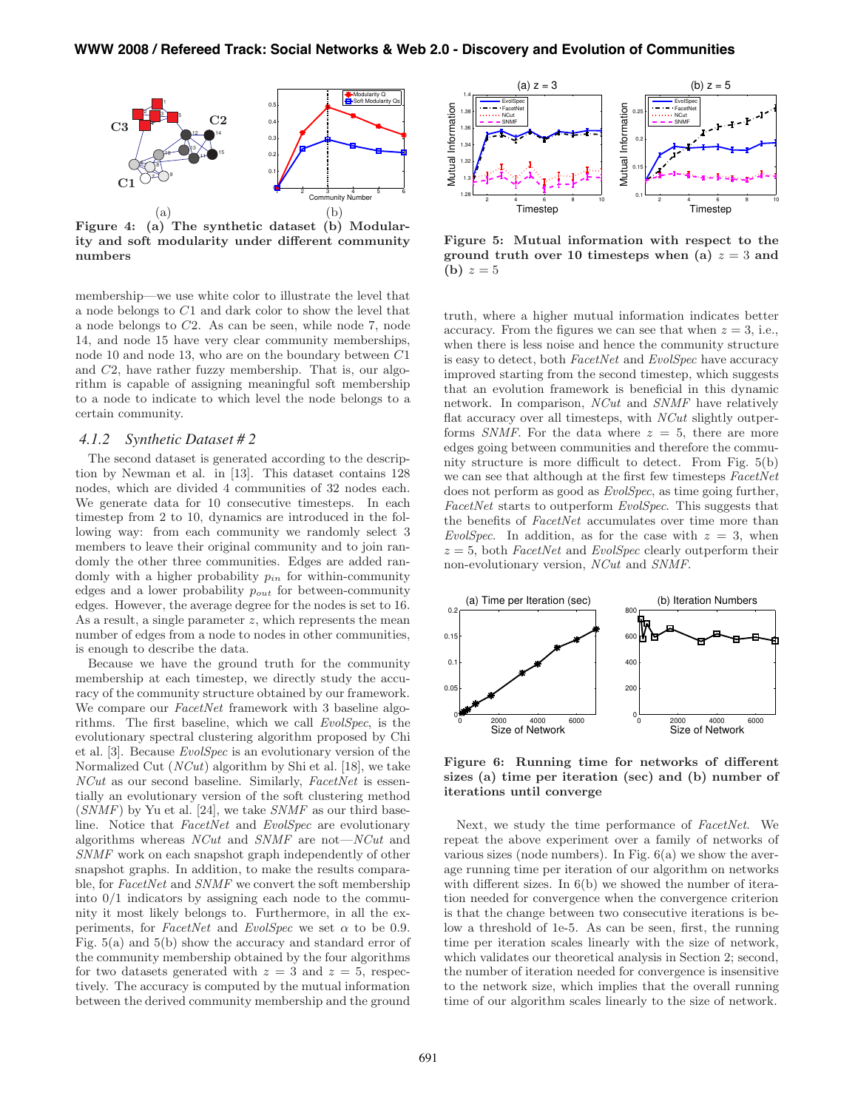

Figure 4: (a) The synthetic dataset (b) Modularity and soft modularity under different community numbers

membership—we use white color to illustrate the level that a node belongs to C1 and dark color to show the level that a node belongs to C2. As can be seen, while node 7, node 14, and node 15 have very clear community memberships, node 10 and node 13, who are on the boundary between C1 and C2, have rather fuzzy membership. That is, our algorithm is capable of assigning meaningful soft membership to a node to indicate to which level the node belongs to a certain community.

## *4.1.2 Synthetic Dataset # 2*

The second dataset is generated according to the description by Newman et al. in [13]. This dataset contains 128 nodes, which are divided 4 communities of 32 nodes each. We generate data for 10 consecutive timesteps. In each timestep from 2 to 10, dynamics are introduced in the following way: from each community we randomly select 3 members to leave their original community and to join randomly the other three communities. Edges are added randomly with a higher probability  $p_{in}$  for within-community edges and a lower probability  $p_{out}$  for between-community edges. However, the average degree for the nodes is set to 16. As a result, a single parameter  $z$ , which represents the mean number of edges from a node to nodes in other communities, is enough to describe the data.

Because we have the ground truth for the community membership at each timestep, we directly study the accuracy of the community structure obtained by our framework. We compare our *FacetNet* framework with 3 baseline algorithms. The first baseline, which we call EvolSpec, is the evolutionary spectral clustering algorithm proposed by Chi et al. [3]. Because EvolSpec is an evolutionary version of the Normalized Cut (NCut) algorithm by Shi et al. [18], we take NCut as our second baseline. Similarly, FacetNet is essentially an evolutionary version of the soft clustering method  $(SNMF)$  by Yu et al. [24], we take  $S NMF$  as our third baseline. Notice that FacetNet and EvolSpec are evolutionary algorithms whereas NCut and SNMF are not—NCut and SNMF work on each snapshot graph independently of other snapshot graphs. In addition, to make the results comparable, for FacetNet and SNMF we convert the soft membership into  $0/1$  indicators by assigning each node to the community it most likely belongs to. Furthermore, in all the experiments, for *FacetNet* and *EvolSpec* we set  $\alpha$  to be 0.9. Fig. 5(a) and 5(b) show the accuracy and standard error of the community membership obtained by the four algorithms for two datasets generated with  $z = 3$  and  $z = 5$ , respectively. The accuracy is computed by the mutual information between the derived community membership and the ground



Figure 5: Mutual information with respect to the ground truth over 10 timesteps when (a)  $z = 3$  and (**b**)  $z = 5$ 

truth, where a higher mutual information indicates better accuracy. From the figures we can see that when  $z = 3$ , i.e., when there is less noise and hence the community structure is easy to detect, both FacetNet and EvolSpec have accuracy improved starting from the second timestep, which suggests that an evolution framework is beneficial in this dynamic network. In comparison, NCut and SNMF have relatively flat accuracy over all timesteps, with *NCut* slightly outperforms *SNMF*. For the data where  $z = 5$ , there are more edges going between communities and therefore the community structure is more difficult to detect. From Fig. 5(b) we can see that although at the first few timesteps FacetNet does not perform as good as EvolSpec, as time going further, FacetNet starts to outperform EvolSpec. This suggests that the benefits of FacetNet accumulates over time more than EvolSpec. In addition, as for the case with  $z = 3$ , when  $z = 5$ , both *FacetNet* and *EvolSpec* clearly outperform their non-evolutionary version, NCut and SNMF.



Figure 6: Running time for networks of different sizes (a) time per iteration (sec) and (b) number of iterations until converge

Next, we study the time performance of FacetNet. We repeat the above experiment over a family of networks of various sizes (node numbers). In Fig. 6(a) we show the average running time per iteration of our algorithm on networks with different sizes. In  $6(b)$  we showed the number of iteration needed for convergence when the convergence criterion is that the change between two consecutive iterations is below a threshold of 1e-5. As can be seen, first, the running time per iteration scales linearly with the size of network, which validates our theoretical analysis in Section 2; second, the number of iteration needed for convergence is insensitive to the network size, which implies that the overall running time of our algorithm scales linearly to the size of network.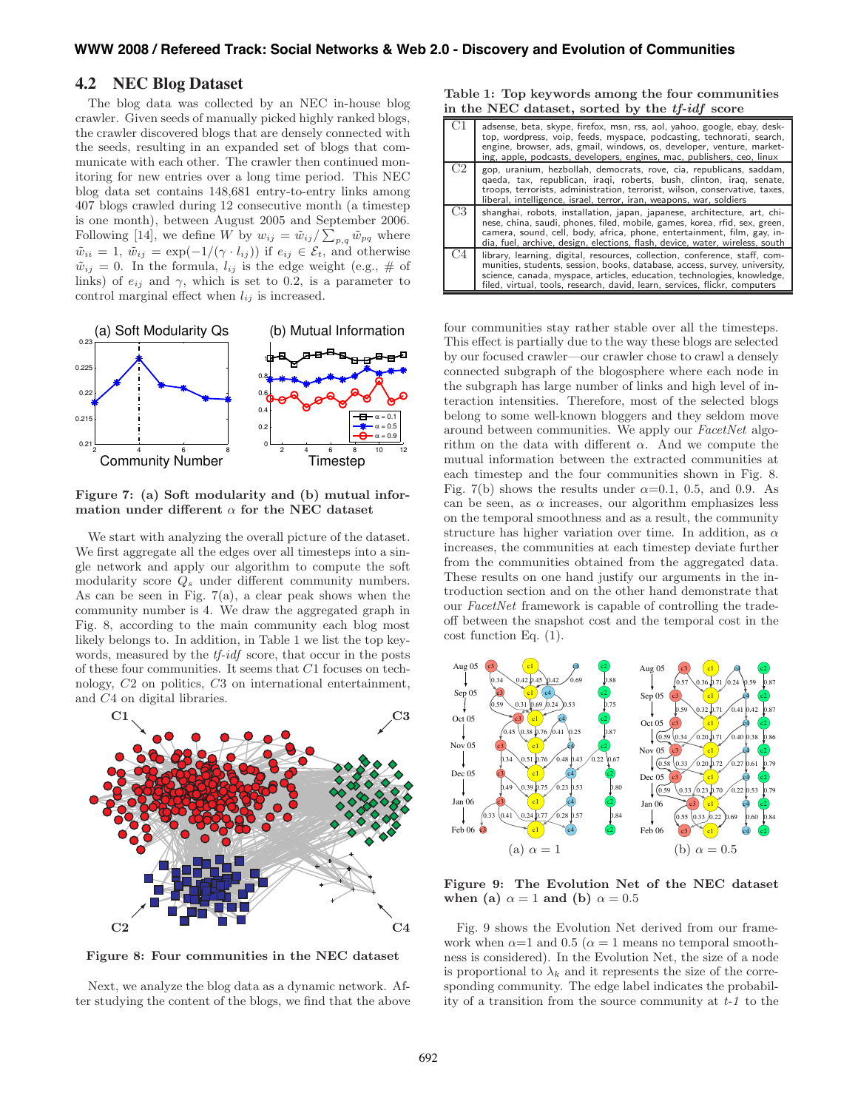## **4.2 NEC Blog Dataset**

The blog data was collected by an NEC in-house blog crawler. Given seeds of manually picked highly ranked blogs, the crawler discovered blogs that are densely connected with the seeds, resulting in an expanded set of blogs that communicate with each other. The crawler then continued monitoring for new entries over a long time period. This NEC blog data set contains 148,681 entry-to-entry links among 407 blogs crawled during 12 consecutive month (a timestep is one month), between August 2005 and September 2006. Following [14], we define W by  $w_{ij} = \tilde{w}_{ij} / \sum_{p,q} \tilde{w}_{pq}$  where  $\tilde{w}_{ii} = 1, \tilde{w}_{ij} = \exp(-1/(\gamma \cdot l_{ij}))$  if  $e_{ij} \in \mathcal{E}_t$ , and otherwise  $\tilde{w}_{ij} = 0$ . In the formula,  $l_{ij}$  is the edge weight (e.g., # of links) of  $e_{ij}$  and  $\gamma$ , which is set to 0.2, is a parameter to control marginal effect when  $l_{ij}$  is increased.



Figure 7: (a) Soft modularity and (b) mutual information under different  $\alpha$  for the NEC dataset

We start with analyzing the overall picture of the dataset. We first aggregate all the edges over all timesteps into a single network and apply our algorithm to compute the soft modularity score  $Q_s$  under different community numbers. As can be seen in Fig.  $7(a)$ , a clear peak shows when the community number is 4. We draw the aggregated graph in Fig. 8, according to the main community each blog most likely belongs to. In addition, in Table 1 we list the top keywords, measured by the tf-idf score, that occur in the posts of these four communities. It seems that C1 focuses on technology, C2 on politics, C3 on international entertainment, and C4 on digital libraries.



Figure 8: Four communities in the NEC dataset

Next, we analyze the blog data as a dynamic network. After studying the content of the blogs, we find that the above

Table 1: Top keywords among the four communities in the NEC dataset, sorted by the tf-idf score

|    | adsense, beta, skype, firefox, msn, rss, aol, yahoo, google, ebay, desk-<br>top, wordpress, voip, feeds, myspace, podcasting, technorati, search,<br>engine, browser, ads, gmail, windows, os, developer, venture, market-<br>ing, apple, podcasts, developers, engines, mac, publishers, ceo, linux              |
|----|-------------------------------------------------------------------------------------------------------------------------------------------------------------------------------------------------------------------------------------------------------------------------------------------------------------------|
| C2 | gop, uranium, hezbollah, democrats, rove, cia, republicans, saddam,<br>gaeda, tax, republican, iragi, roberts, bush, clinton, irag, senate,<br>troops, terrorists, administration, terrorist, wilson, conservative, taxes,<br>liberal, intelligence, israel, terror, iran, weapons, war, soldiers                 |
| C3 | shanghai, robots, installation, japan, japanese, architecture, art, chi-<br>nese, china, saudi, phones, filed, mobile, games, korea, rfid, sex, green,<br>camera, sound, cell, body, africa, phone, entertainment, film, gay, in-<br>dia, fuel, archive, design, elections, flash, device, water, wireless, south |
| C4 | library, learning, digital, resources, collection, conference, staff, com-<br>munities, students, session, books, database, access, survey, university,<br>science, canada, myspace, articles, education, technologies, knowledge,<br>filed, virtual, tools, research, david, learn, services, flickr, computers  |

four communities stay rather stable over all the timesteps. This effect is partially due to the way these blogs are selected by our focused crawler—our crawler chose to crawl a densely connected subgraph of the blogosphere where each node in the subgraph has large number of links and high level of interaction intensities. Therefore, most of the selected blogs belong to some well-known bloggers and they seldom move around between communities. We apply our FacetNet algorithm on the data with different  $\alpha$ . And we compute the mutual information between the extracted communities at each timestep and the four communities shown in Fig. 8. Fig. 7(b) shows the results under  $\alpha$ =0.1, 0.5, and 0.9. As can be seen, as  $\alpha$  increases, our algorithm emphasizes less on the temporal smoothness and as a result, the community structure has higher variation over time. In addition, as  $\alpha$ increases, the communities at each timestep deviate further from the communities obtained from the aggregated data. These results on one hand justify our arguments in the introduction section and on the other hand demonstrate that our FacetNet framework is capable of controlling the tradeoff between the snapshot cost and the temporal cost in the cost function Eq. (1).



Figure 9: The Evolution Net of the NEC dataset when (a)  $\alpha = 1$  and (b)  $\alpha = 0.5$ 

Fig. 9 shows the Evolution Net derived from our framework when  $\alpha=1$  and 0.5 ( $\alpha=1$  means no temporal smoothness is considered). In the Evolution Net, the size of a node is proportional to  $\lambda_k$  and it represents the size of the corresponding community. The edge label indicates the probability of a transition from the source community at  $t-1$  to the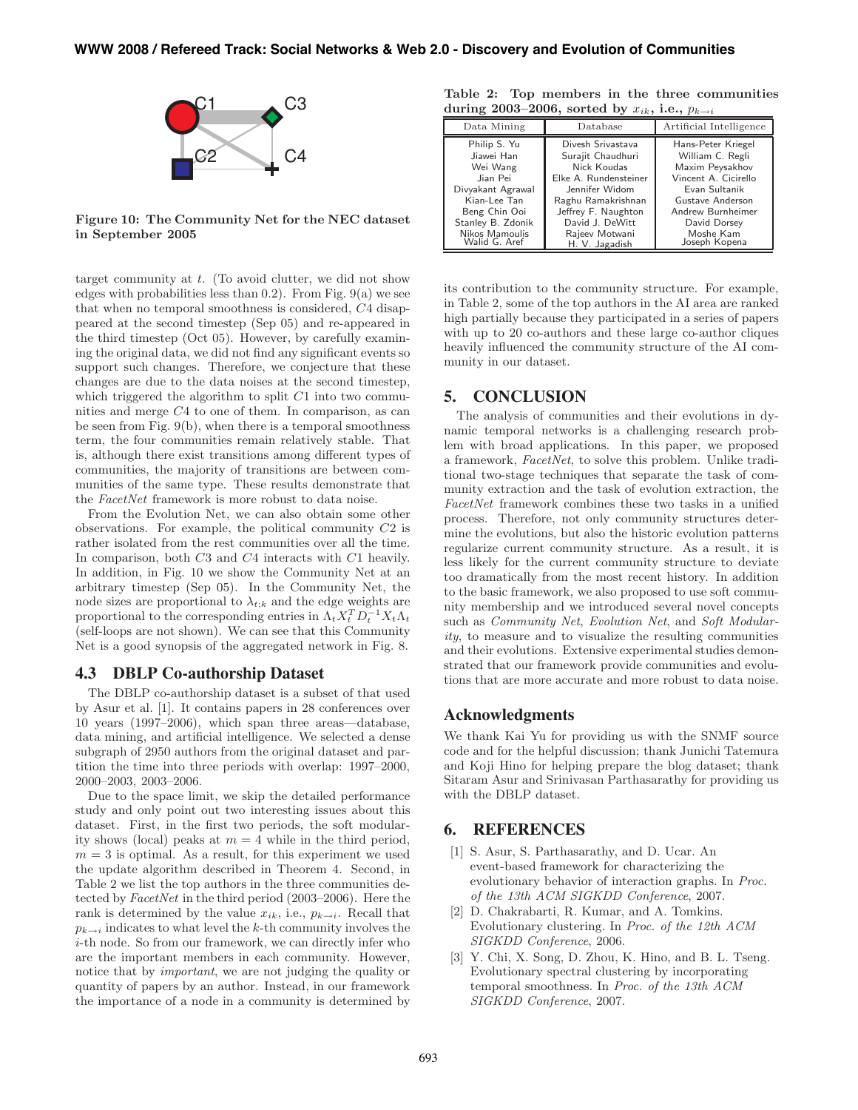

Figure 10: The Community Net for the NEC dataset in September 2005

target community at t. (To avoid clutter, we did not show edges with probabilities less than  $(0.2)$ . From Fig.  $9(a)$  we see that when no temporal smoothness is considered, C4 disappeared at the second timestep (Sep 05) and re-appeared in the third timestep (Oct 05). However, by carefully examining the original data, we did not find any significant events so support such changes. Therefore, we conjecture that these changes are due to the data noises at the second timestep, which triggered the algorithm to split  $C1$  into two communities and merge C4 to one of them. In comparison, as can be seen from Fig. 9(b), when there is a temporal smoothness term, the four communities remain relatively stable. That is, although there exist transitions among different types of communities, the majority of transitions are between communities of the same type. These results demonstrate that the FacetNet framework is more robust to data noise.

From the Evolution Net, we can also obtain some other observations. For example, the political community  $C2$  is rather isolated from the rest communities over all the time. In comparison, both C3 and C4 interacts with C1 heavily. In addition, in Fig. 10 we show the Community Net at an arbitrary timestep (Sep 05). In the Community Net, the node sizes are proportional to  $\lambda_{t;k}$  and the edge weights are proportional to the corresponding entries in  $\Lambda_t X_t^T D_t^{-1} X_t \Lambda_t$ (self-loops are not shown). We can see that this Community Net is a good synopsis of the aggregated network in Fig. 8.

## **4.3 DBLP Co-authorship Dataset**

The DBLP co-authorship dataset is a subset of that used by Asur et al. [1]. It contains papers in 28 conferences over 10 years (1997–2006), which span three areas—database, data mining, and artificial intelligence. We selected a dense subgraph of 2950 authors from the original dataset and partition the time into three periods with overlap: 1997–2000, 2000–2003, 2003–2006.

Due to the space limit, we skip the detailed performance study and only point out two interesting issues about this dataset. First, in the first two periods, the soft modularity shows (local) peaks at  $m = 4$  while in the third period,  $m = 3$  is optimal. As a result, for this experiment we used the update algorithm described in Theorem 4. Second, in Table 2 we list the top authors in the three communities detected by FacetNet in the third period (2003–2006). Here the rank is determined by the value  $x_{ik}$ , i.e.,  $p_{k\rightarrow i}$ . Recall that  $p_{k\rightarrow i}$  indicates to what level the k-th community involves the i-th node. So from our framework, we can directly infer who are the important members in each community. However, notice that by *important*, we are not judging the quality or quantity of papers by an author. Instead, in our framework the importance of a node in a community is determined by

Table 2: Top members in the three communities during 2003–2006, sorted by  $x_{ik}$ , i.e.,  $p_{k\rightarrow i}$ 

| Data Mining       | Database              | Artificial Intelligence |
|-------------------|-----------------------|-------------------------|
| Philip S. Yu      | Divesh Srivastava     | Hans-Peter Kriegel      |
| Jiawei Han        | Surajit Chaudhuri     | William C. Regli        |
| Wei Wang          | Nick Koudas           | Maxim Peysakhov         |
| Jian Pei          | Elke A. Rundensteiner | Vincent A. Cicirello    |
| Divyakant Agrawal | Jennifer Widom        | Evan Sultanik           |
| Kian-Lee Tan      | Raghu Ramakrishnan    | Gustave Anderson        |
| Beng Chin Ooi     | Jeffrey F. Naughton   | Andrew Burnheimer       |
| Stanley B. Zdonik | David J. DeWitt       | David Dorsey            |
| Nikos Mamoulis    | Rajeev Motwani        | Moshe Kam               |
| Walid G. Aref     | H. V. Jagadish        | Joseph Kopena           |

its contribution to the community structure. For example, in Table 2, some of the top authors in the AI area are ranked high partially because they participated in a series of papers with up to 20 co-authors and these large co-author cliques heavily influenced the community structure of the AI community in our dataset.

# **5. CONCLUSION**

The analysis of communities and their evolutions in dynamic temporal networks is a challenging research problem with broad applications. In this paper, we proposed a framework, FacetNet, to solve this problem. Unlike traditional two-stage techniques that separate the task of community extraction and the task of evolution extraction, the FacetNet framework combines these two tasks in a unified process. Therefore, not only community structures determine the evolutions, but also the historic evolution patterns regularize current community structure. As a result, it is less likely for the current community structure to deviate too dramatically from the most recent history. In addition to the basic framework, we also proposed to use soft community membership and we introduced several novel concepts such as *Community Net, Evolution Net*, and *Soft Modular*ity, to measure and to visualize the resulting communities and their evolutions. Extensive experimental studies demonstrated that our framework provide communities and evolutions that are more accurate and more robust to data noise.

# **Acknowledgments**

We thank Kai Yu for providing us with the SNMF source code and for the helpful discussion; thank Junichi Tatemura and Koji Hino for helping prepare the blog dataset; thank Sitaram Asur and Srinivasan Parthasarathy for providing us with the DBLP dataset.

# **6. REFERENCES**

- [1] S. Asur, S. Parthasarathy, and D. Ucar. An event-based framework for characterizing the evolutionary behavior of interaction graphs. In Proc. of the 13th ACM SIGKDD Conference, 2007.
- [2] D. Chakrabarti, R. Kumar, and A. Tomkins. Evolutionary clustering. In Proc. of the 12th ACM SIGKDD Conference, 2006.
- [3] Y. Chi, X. Song, D. Zhou, K. Hino, and B. L. Tseng. Evolutionary spectral clustering by incorporating temporal smoothness. In Proc. of the 13th ACM SIGKDD Conference, 2007.